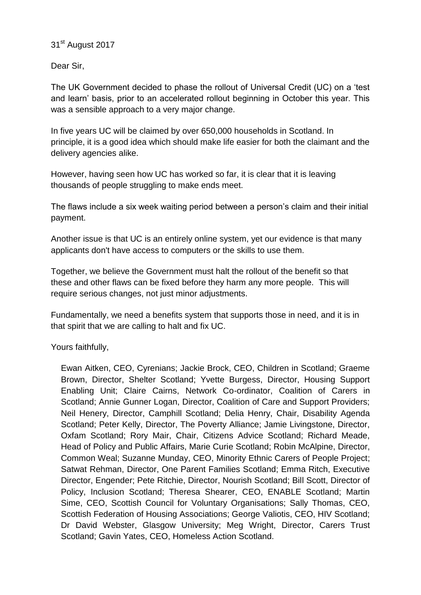## 31<sup>st</sup> August 2017

Dear Sir,

The UK Government decided to phase the rollout of Universal Credit (UC) on a 'test and learn' basis, prior to an accelerated rollout beginning in October this year. This was a sensible approach to a very major change.

In five years UC will be claimed by over 650,000 households in Scotland. In principle, it is a good idea which should make life easier for both the claimant and the delivery agencies alike.

However, having seen how UC has worked so far, it is clear that it is leaving thousands of people struggling to make ends meet.

The flaws include a six week waiting period between a person's claim and their initial payment.

Another issue is that UC is an entirely online system, yet our evidence is that many applicants don't have access to computers or the skills to use them.

Together, we believe the Government must halt the rollout of the benefit so that these and other flaws can be fixed before they harm any more people. This will require serious changes, not just minor adjustments.

Fundamentally, we need a benefits system that supports those in need, and it is in that spirit that we are calling to halt and fix UC.

Yours faithfully,

Ewan Aitken, CEO, Cyrenians; Jackie Brock, CEO, Children in Scotland; Graeme Brown, Director, Shelter Scotland; Yvette Burgess, Director, Housing Support Enabling Unit; Claire Cairns, Network Co-ordinator, Coalition of Carers in Scotland; Annie Gunner Logan, Director, Coalition of Care and Support Providers; Neil Henery, Director, Camphill Scotland; Delia Henry, Chair, Disability Agenda Scotland; Peter Kelly, Director, The Poverty Alliance; Jamie Livingstone, Director, Oxfam Scotland; Rory Mair, Chair, Citizens Advice Scotland; Richard Meade, Head of Policy and Public Affairs, Marie Curie Scotland; Robin McAlpine, Director, Common Weal; Suzanne Munday, CEO, Minority Ethnic Carers of People Project; Satwat Rehman, Director, One Parent Families Scotland; Emma Ritch, Executive Director, Engender; Pete Ritchie, Director, Nourish Scotland; Bill Scott, Director of Policy, Inclusion Scotland; Theresa Shearer, CEO, ENABLE Scotland; Martin Sime, CEO, Scottish Council for Voluntary Organisations; Sally Thomas, CEO, Scottish Federation of Housing Associations; George Valiotis, CEO, HIV Scotland; Dr David Webster, Glasgow University; Meg Wright, Director, Carers Trust Scotland; Gavin Yates, CEO, Homeless Action Scotland.